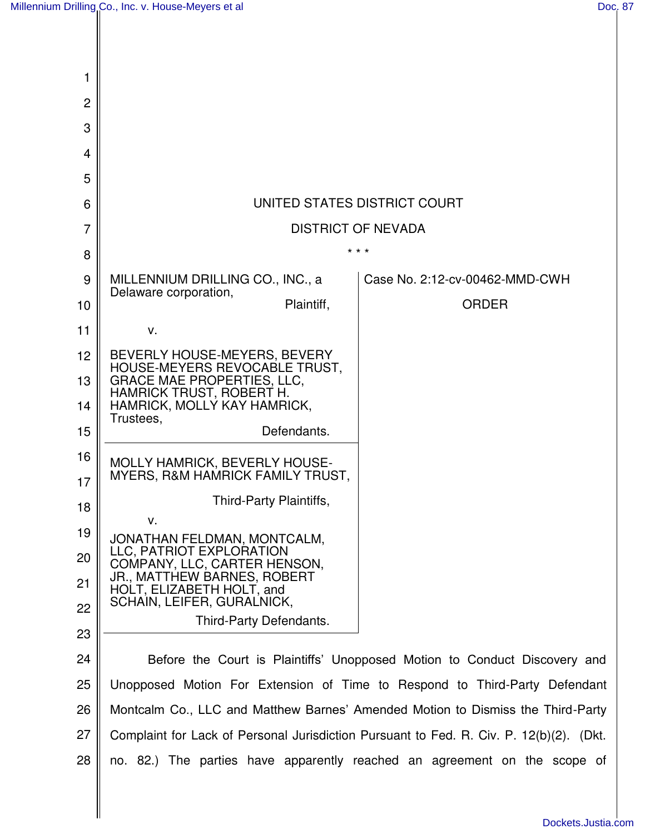$\mathsf{I}$ 

 $\mathsf{I}$ 

 $\mathbb{I}$ 

| 1  |                                                                                         |                                                                           |
|----|-----------------------------------------------------------------------------------------|---------------------------------------------------------------------------|
| 2  |                                                                                         |                                                                           |
| 3  |                                                                                         |                                                                           |
| 4  |                                                                                         |                                                                           |
| 5  |                                                                                         |                                                                           |
| 6  | UNITED STATES DISTRICT COURT                                                            |                                                                           |
| 7  | <b>DISTRICT OF NEVADA</b>                                                               |                                                                           |
| 8  | * * *                                                                                   |                                                                           |
| 9  | MILLENNIUM DRILLING CO., INC., a<br>Delaware corporation,                               | Case No. 2:12-cv-00462-MMD-CWH                                            |
| 10 | Plaintiff,                                                                              | <b>ORDER</b>                                                              |
| 11 | V.                                                                                      |                                                                           |
| 12 | BEVERLY HOUSE-MEYERS, BEVERY                                                            |                                                                           |
| 13 | HOUSE-MEYERS REVOCABLE TRUST,<br>GRACE MAE PROPERTIES, LLC,                             |                                                                           |
| 14 | <b>HAMRICK TRUST, ROBERT H.</b><br>HAMRICK, MOLLY KAY HAMRICK,                          |                                                                           |
| 15 | Trustees,<br>Defendants.                                                                |                                                                           |
| 16 | MOLLY HAMRICK, BEVERLY HOUSE-                                                           |                                                                           |
| 17 | MYERS, R&M HAMRICK FAMILY TRUST,                                                        |                                                                           |
| 18 | Third-Party Plaintiffs,                                                                 |                                                                           |
| 19 | V.<br>JONATHAN FELDMAN, MONTCALM,                                                       |                                                                           |
| 20 | LLC, PATRIOT EXPLORATION<br>COMPANY, LLC, CARTER HENSON,                                |                                                                           |
| 21 | JR., MATTHEW BARNES, ROBERT<br>HOLT, ELIZABETH HOLT, and                                |                                                                           |
| 22 | SCHAIN, LEIFER, GURALNICK,<br>Third-Party Defendants.                                   |                                                                           |
| 23 |                                                                                         |                                                                           |
| 24 |                                                                                         | Before the Court is Plaintiffs' Unopposed Motion to Conduct Discovery and |
| 25 | Unopposed Motion For Extension of Time to Respond to Third-Party Defendant              |                                                                           |
| 26 | Montcalm Co., LLC and Matthew Barnes' Amended Motion to Dismiss the Third-Party         |                                                                           |
| 27 | Complaint for Lack of Personal Jurisdiction Pursuant to Fed. R. Civ. P. 12(b)(2). (Dkt. |                                                                           |
| 28 | no. 82.) The parties have apparently reached an agreement on the scope of               |                                                                           |